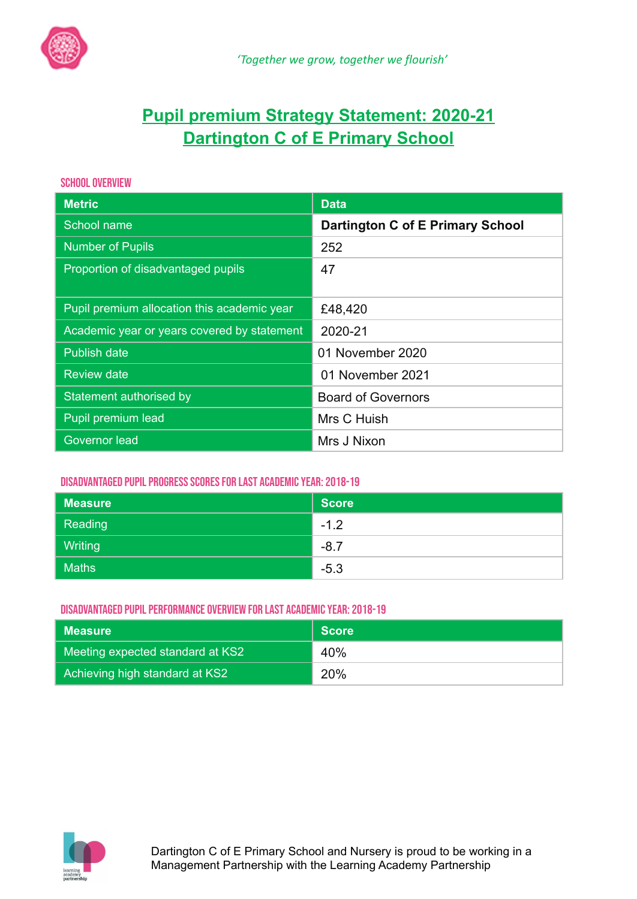

# **Pupil premium Strategy Statement: 2020-21 Dartington C of E Primary School**

## SCHOOL OVERVIEW

| <b>Metric</b>                               | <b>Data</b>                      |
|---------------------------------------------|----------------------------------|
| School name                                 | Dartington C of E Primary School |
| <b>Number of Pupils</b>                     | 252                              |
| Proportion of disadvantaged pupils          | 47                               |
|                                             |                                  |
| Pupil premium allocation this academic year | £48,420                          |
| Academic year or years covered by statement | 2020-21                          |
| <b>Publish date</b>                         | 01 November 2020                 |
| <b>Review date</b>                          | 01 November 2021                 |
| Statement authorised by                     | <b>Board of Governors</b>        |
| Pupil premium lead                          | Mrs C Huish                      |
| Governor lead                               | Mrs J Nixon                      |

# DISADVANTAGED PUPIL PROGRESS SCORES FOR LAST ACADEMIC YEAR: 2018-19

| <b>Measure</b> | <b>Score</b> |
|----------------|--------------|
| Reading        | $-1.2$       |
| <b>Writing</b> | $-8.7$       |
| <b>Maths</b>   | $-5.3$       |

# DISADVANTAGED PUPIL PERFORMANCE OVERVIEW FOR LAST ACADEMIC YEAR: 2018-19

| Measure                          | <b>Score</b> |
|----------------------------------|--------------|
| Meeting expected standard at KS2 | 40%          |
| Achieving high standard at KS2   | 20%          |

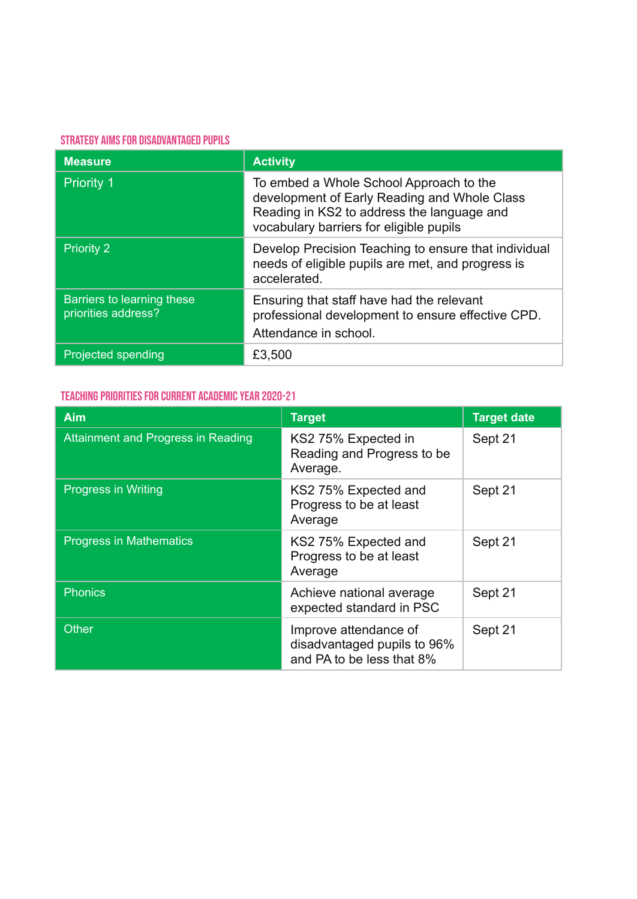### STRATEGY AIMS FOR DISADVANTAGED PUPILS

| <b>Measure</b>                                    | <b>Activity</b>                                                                                                                                                                  |
|---------------------------------------------------|----------------------------------------------------------------------------------------------------------------------------------------------------------------------------------|
| <b>Priority 1</b>                                 | To embed a Whole School Approach to the<br>development of Early Reading and Whole Class<br>Reading in KS2 to address the language and<br>vocabulary barriers for eligible pupils |
| <b>Priority 2</b>                                 | Develop Precision Teaching to ensure that individual<br>needs of eligible pupils are met, and progress is<br>accelerated.                                                        |
| Barriers to learning these<br>priorities address? | Ensuring that staff have had the relevant<br>professional development to ensure effective CPD.<br>Attendance in school.                                                          |
| <b>Projected spending</b>                         | £3,500                                                                                                                                                                           |

# TEACHING PRIORITIES FOR CURRENT ACADEMIC YEAR 2020-21

| <b>Aim</b>                         | <b>Target</b>                                                                     | <b>Target date</b> |
|------------------------------------|-----------------------------------------------------------------------------------|--------------------|
| Attainment and Progress in Reading | KS2 75% Expected in<br>Reading and Progress to be<br>Average.                     | Sept 21            |
| <b>Progress in Writing</b>         | KS2 75% Expected and<br>Progress to be at least<br>Average                        | Sept 21            |
| <b>Progress in Mathematics</b>     | KS2 75% Expected and<br>Progress to be at least<br>Average                        | Sept 21            |
| Phonics                            | Achieve national average<br>expected standard in PSC                              | Sept 21            |
| <b>Other</b>                       | Improve attendance of<br>disadvantaged pupils to 96%<br>and PA to be less that 8% | Sept 21            |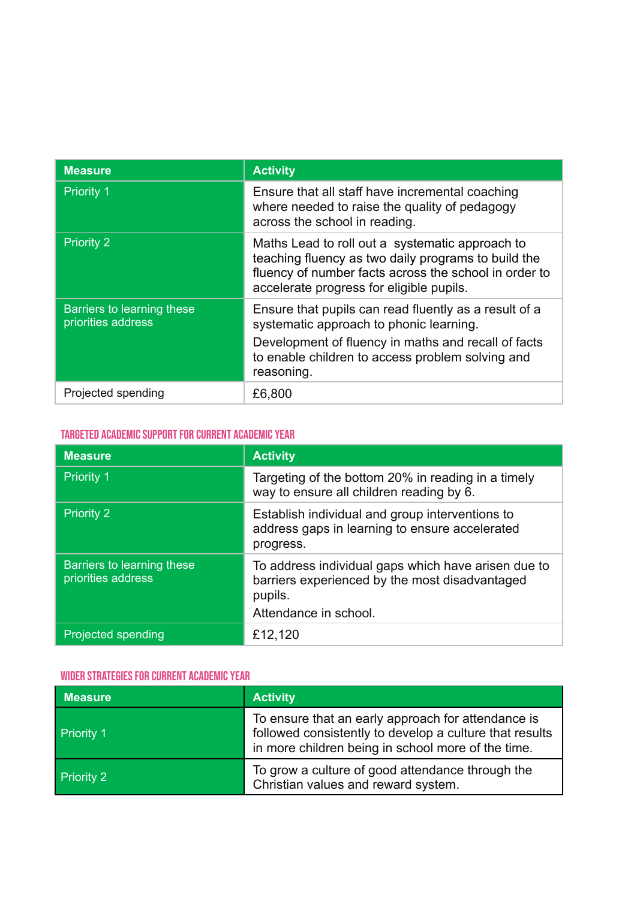| <b>Measure</b>                                   | <b>Activity</b>                                                                                                                                                                                                           |
|--------------------------------------------------|---------------------------------------------------------------------------------------------------------------------------------------------------------------------------------------------------------------------------|
| <b>Priority 1</b>                                | Ensure that all staff have incremental coaching<br>where needed to raise the quality of pedagogy<br>across the school in reading.                                                                                         |
| <b>Priority 2</b>                                | Maths Lead to roll out a systematic approach to<br>teaching fluency as two daily programs to build the<br>fluency of number facts across the school in order to<br>accelerate progress for eligible pupils.               |
| Barriers to learning these<br>priorities address | Ensure that pupils can read fluently as a result of a<br>systematic approach to phonic learning.<br>Development of fluency in maths and recall of facts<br>to enable children to access problem solving and<br>reasoning. |
| Projected spending                               | £6,800                                                                                                                                                                                                                    |

# TARGETED ACADEMIC SUPPORT FOR CURRENT ACADEMIC YEAR

| <b>Measure</b>                                   | <b>Activity</b>                                                                                                                           |
|--------------------------------------------------|-------------------------------------------------------------------------------------------------------------------------------------------|
| <b>Priority 1</b>                                | Targeting of the bottom 20% in reading in a timely<br>way to ensure all children reading by 6.                                            |
| <b>Priority 2</b>                                | Establish individual and group interventions to<br>address gaps in learning to ensure accelerated<br>progress.                            |
| Barriers to learning these<br>priorities address | To address individual gaps which have arisen due to<br>barriers experienced by the most disadvantaged<br>pupils.<br>Attendance in school. |
| Projected spending                               | £12,120                                                                                                                                   |

## WIDER STRATEGIES FOR CURRENT ACADEMIC YEAR

| <b>Measure</b>    | <b>Activity</b>                                                                                                                                                     |
|-------------------|---------------------------------------------------------------------------------------------------------------------------------------------------------------------|
| Priority 1        | To ensure that an early approach for attendance is<br>followed consistently to develop a culture that results<br>in more children being in school more of the time. |
| <b>Priority 2</b> | To grow a culture of good attendance through the<br>Christian values and reward system.                                                                             |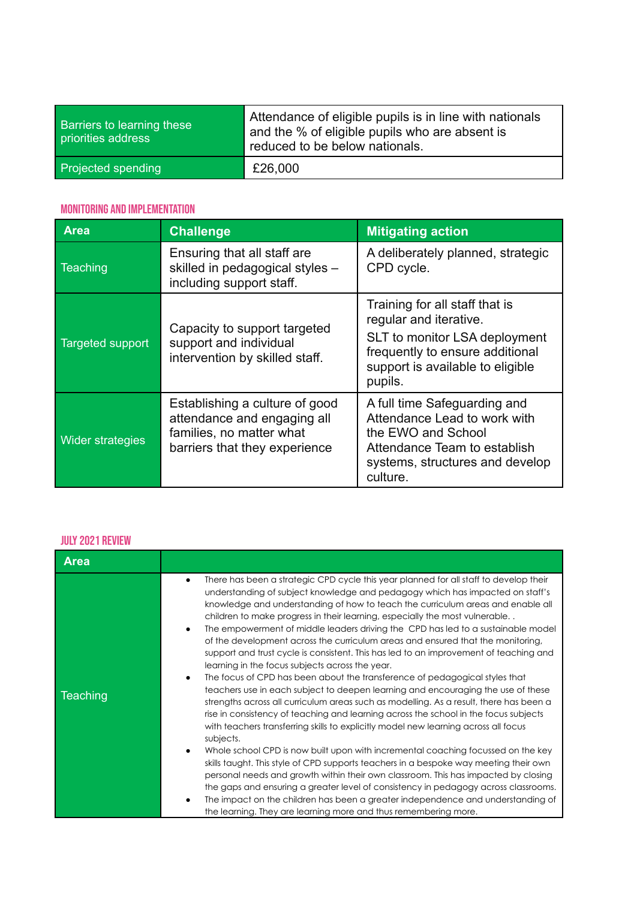| Barriers to learning these<br>priorities address | Attendance of eligible pupils is in line with nationals<br>and the % of eligible pupils who are absent is<br>reduced to be below nationals. |
|--------------------------------------------------|---------------------------------------------------------------------------------------------------------------------------------------------|
| Projected spending                               | £26,000                                                                                                                                     |

# Monitoring and Implementation

| <b>Area</b>             | <b>Challenge</b>                                                                                                           | <b>Mitigating action</b>                                                                                                                                                    |
|-------------------------|----------------------------------------------------------------------------------------------------------------------------|-----------------------------------------------------------------------------------------------------------------------------------------------------------------------------|
| Teaching                | Ensuring that all staff are<br>skilled in pedagogical styles -<br>including support staff.                                 | A deliberately planned, strategic<br>CPD cycle.                                                                                                                             |
| <b>Targeted support</b> | Capacity to support targeted<br>support and individual<br>intervention by skilled staff.                                   | Training for all staff that is<br>regular and iterative.<br>SLT to monitor LSA deployment<br>frequently to ensure additional<br>support is available to eligible<br>pupils. |
| <b>Wider strategies</b> | Establishing a culture of good<br>attendance and engaging all<br>families, no matter what<br>barriers that they experience | A full time Safeguarding and<br>Attendance Lead to work with<br>the EWO and School<br>Attendance Team to establish<br>systems, structures and develop<br>culture.           |

#### JULY 2021 Review

| <b>Area</b>     |                                                                                                                                                                                                                                                                                                                                                                                                                                                                                                                                                                                                                                                                                                                                                                                                                                                                                                                                                                                                                                                                                                                                                                                                                                                                                                                                                                                                                                                                                                                                                                                                                                                                                          |
|-----------------|------------------------------------------------------------------------------------------------------------------------------------------------------------------------------------------------------------------------------------------------------------------------------------------------------------------------------------------------------------------------------------------------------------------------------------------------------------------------------------------------------------------------------------------------------------------------------------------------------------------------------------------------------------------------------------------------------------------------------------------------------------------------------------------------------------------------------------------------------------------------------------------------------------------------------------------------------------------------------------------------------------------------------------------------------------------------------------------------------------------------------------------------------------------------------------------------------------------------------------------------------------------------------------------------------------------------------------------------------------------------------------------------------------------------------------------------------------------------------------------------------------------------------------------------------------------------------------------------------------------------------------------------------------------------------------------|
| <b>Teaching</b> | There has been a strategic CPD cycle this year planned for all staff to develop their<br>$\bullet$<br>understanding of subject knowledge and pedagogy which has impacted on staff's<br>knowledge and understanding of how to teach the curriculum areas and enable all<br>children to make progress in their learning, especially the most vulnerable<br>The empowerment of middle leaders driving the CPD has led to a sustainable model<br>$\bullet$<br>of the development across the curriculum areas and ensured that the monitoring,<br>support and trust cycle is consistent. This has led to an improvement of teaching and<br>learning in the focus subjects across the year.<br>The focus of CPD has been about the transference of pedagogical styles that<br>$\bullet$<br>teachers use in each subject to deepen learning and encouraging the use of these<br>strengths across all curriculum areas such as modelling. As a result, there has been a<br>rise in consistency of teaching and learning across the school in the focus subjects<br>with teachers transferring skills to explicitly model new learning across all focus<br>subjects.<br>Whole school CPD is now built upon with incremental coaching focussed on the key<br>$\bullet$<br>skills taught. This style of CPD supports teachers in a bespoke way meeting their own<br>personal needs and growth within their own classroom. This has impacted by closing<br>the gaps and ensuring a greater level of consistency in pedagogy across classrooms.<br>The impact on the children has been a greater independence and understanding of<br>the learning. They are learning more and thus remembering more. |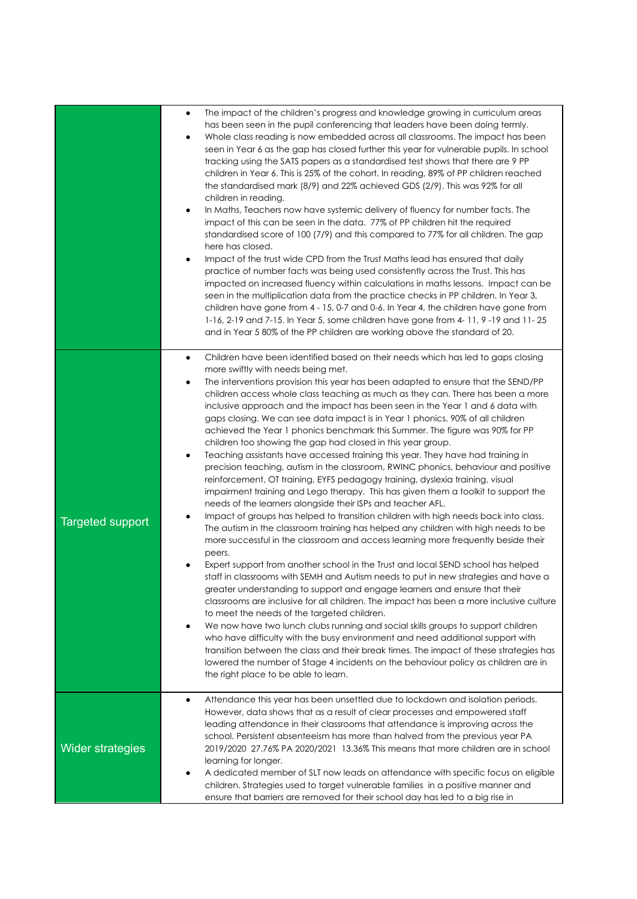|                         | The impact of the children's progress and knowledge growing in curriculum areas<br>$\bullet$<br>has been seen in the pupil conferencing that leaders have been doing termly.<br>Whole class reading is now embedded across all classrooms. The impact has been<br>$\bullet$<br>seen in Year 6 as the gap has closed further this year for vulnerable pupils. In school<br>tracking using the SATS papers as a standardised test shows that there are 9 PP<br>children in Year 6. This is 25% of the cohort. In reading, 89% of PP children reached<br>the standardised mark (8/9) and 22% achieved GDS (2/9). This was 92% for all<br>children in reading.<br>In Maths, Teachers now have systemic delivery of fluency for number facts. The<br>$\bullet$<br>impact of this can be seen in the data. 77% of PP children hit the required<br>standardised score of 100 (7/9) and this compared to 77% for all children. The gap<br>here has closed.<br>Impact of the trust wide CPD from the Trust Maths lead has ensured that daily<br>$\bullet$<br>practice of number facts was being used consistently across the Trust. This has<br>impacted on increased fluency within calculations in maths lessons. Impact can be<br>seen in the multiplication data from the practice checks in PP children. In Year 3,<br>children have gone from 4 - 15, 0-7 and 0-6. In Year 4, the children have gone from<br>1-16, 2-19 and 7-15. In Year 5, some children have gone from 4-11, 9-19 and 11-25<br>and in Year 5 80% of the PP children are working above the standard of 20.                                                                                                                                                                                                                                                                                                                                                                                                                                                                                                                                                                            |
|-------------------------|------------------------------------------------------------------------------------------------------------------------------------------------------------------------------------------------------------------------------------------------------------------------------------------------------------------------------------------------------------------------------------------------------------------------------------------------------------------------------------------------------------------------------------------------------------------------------------------------------------------------------------------------------------------------------------------------------------------------------------------------------------------------------------------------------------------------------------------------------------------------------------------------------------------------------------------------------------------------------------------------------------------------------------------------------------------------------------------------------------------------------------------------------------------------------------------------------------------------------------------------------------------------------------------------------------------------------------------------------------------------------------------------------------------------------------------------------------------------------------------------------------------------------------------------------------------------------------------------------------------------------------------------------------------------------------------------------------------------------------------------------------------------------------------------------------------------------------------------------------------------------------------------------------------------------------------------------------------------------------------------------------------------------------------------------------------------------------------------------------------------------------------------------|
| <b>Targeted support</b> | Children have been identified based on their needs which has led to gaps closing<br>$\bullet$<br>more swiftly with needs being met.<br>The interventions provision this year has been adapted to ensure that the SEND/PP<br>$\bullet$<br>children access whole class teaching as much as they can. There has been a more<br>inclusive approach and the impact has been seen in the Year 1 and 6 data with<br>gaps closing. We can see data impact is in Year 1 phonics. 90% of all children<br>achieved the Year 1 phonics benchmark this Summer. The figure was 90% for PP<br>children too showing the gap had closed in this year group.<br>Teaching assistants have accessed training this year. They have had training in<br>٠<br>precision teaching, autism in the classroom, RWINC phonics, behaviour and positive<br>reinforcement, OT training, EYFS pedagogy training, dyslexia training, visual<br>impairment training and Lego therapy. This has given them a toolkit to support the<br>needs of the learners alongside their ISPs and teacher AFL.<br>Impact of groups has helped to transition children with high needs back into class.<br>٠<br>The autism in the classroom training has helped any children with high needs to be<br>more successful in the classroom and access learning more frequently beside their<br>peers.<br>Expert support from another school in the Trust and local SEND school has helped<br>staff in classrooms with SEMH and Autism needs to put in new strategies and have a<br>greater understanding to support and engage learners and ensure that their<br>classrooms are inclusive for all children. The impact has been a more inclusive culture<br>to meet the needs of the targeted children.<br>We now have two lunch clubs running and social skills groups to support children<br>٠<br>who have difficulty with the busy environment and need additional support with<br>transition between the class and their break times. The impact of these strategies has<br>lowered the number of Stage 4 incidents on the behaviour policy as children are in<br>the right place to be able to learn. |
| Wider strategies        | Attendance this year has been unsettled due to lockdown and isolation periods.<br>$\bullet$<br>However, data shows that as a result of clear processes and empowered staff<br>leading attendance in their classrooms that attendance is improving across the<br>school. Persistent absenteeism has more than halved from the previous year PA<br>2019/2020 27.76% PA 2020/2021 13.36% This means that more children are in school<br>learning for longer.<br>A dedicated member of SLT now leads on attendance with specific focus on eligible<br>children. Strategies used to target vulnerable families in a positive manner and<br>ensure that barriers are removed for their school day has led to a big rise in                                                                                                                                                                                                                                                                                                                                                                                                                                                                                                                                                                                                                                                                                                                                                                                                                                                                                                                                                                                                                                                                                                                                                                                                                                                                                                                                                                                                                                 |